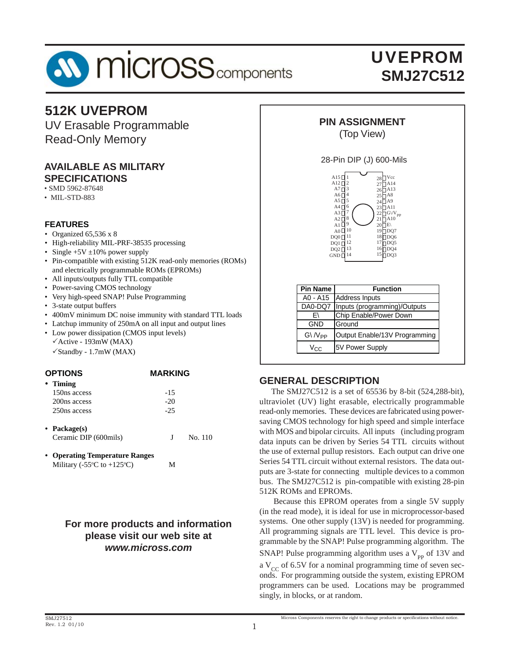

# UVEPROM **SMJ27C512**

# **512K UVEPROM**

UV Erasable Programmable Read-Only Memory

#### **AVAILABLE AS MILITARY SPECIFICATIONS**

• SMD 5962-87648

• MIL-STD-883

#### **FEATURES**

- Organized 65,536 x 8
- High-reliability MIL-PRF-38535 processing
- Single  $+5V \pm 10\%$  power supply
- Pin-compatible with existing 512K read-only memories (ROMs) and electrically programmable ROMs (EPROMs)
- All inputs/outputs fully TTL compatible
- Power-saving CMOS technology
- Very high-speed SNAP! Pulse Programming
- 3-state output buffers
- 400mV minimum DC noise immunity with standard TTL loads
- Latchup immunity of 250mA on all input and output lines
- Low power dissipation (CMOS input levels)  $\checkmark$  Active - 193mW (MAX)
	- $\checkmark$  Standby 1.7mW (MAX)

#### **OPTIONS MARKING**

| • Timing     |       |
|--------------|-------|
| 150ns access | $-15$ |
| 200ns access | $-20$ |
| 250ns access | $-25$ |

- **Package(s)** Ceramic DIP (600mils) J No. 110
- **Operating Temperature Ranges** Military ( $-55^{\circ}$ C to  $+125^{\circ}$ C) M

## **For more products and information please visit our web site at** *www.micross.com*



#### 28-Pin DIP (J) 600-Mils



| <b>Pin Name</b>      | <b>Function</b>                        |
|----------------------|----------------------------------------|
|                      | A0 - A15 Address Inputs                |
|                      | DA0-DQ7   Inputs (programming)/Outputs |
| F١                   | Chip Enable/Power Down                 |
| <b>GND</b>           | Ground                                 |
| $G\backslash N_{PP}$ | Output Enable/13V Programming          |
| Vec                  | 5V Power Supply                        |

## **GENERAL DESCRIPTION**

 The SMJ27C512 is a set of 65536 by 8-bit (524,288-bit), ultraviolet (UV) light erasable, electrically programmable read-only memories. These devices are fabricated using powersaving CMOS technology for high speed and simple interface with MOS and bipolar circuits. All inputs (including program data inputs can be driven by Series 54 TTL circuits without the use of external pullup resistors. Each output can drive one Series 54 TTL circuit without external resistors. The data outputs are 3-state for connecting multiple devices to a common bus. The SMJ27C512 is pin-compatible with existing 28-pin 512K ROMs and EPROMs.

 Because this EPROM operates from a single 5V supply (in the read mode), it is ideal for use in microprocessor-based systems. One other supply (13V) is needed for programming. All programming signals are TTL level. This device is programmable by the SNAP! Pulse programming algorithm. The SNAP! Pulse programming algorithm uses a  $V_{\text{pp}}$  of 13V and a  $V_{CC}$  of 6.5V for a nominal programming time of seven seconds. For programming outside the system, existing EPROM programmers can be used. Locations may be programmed singly, in blocks, or at random.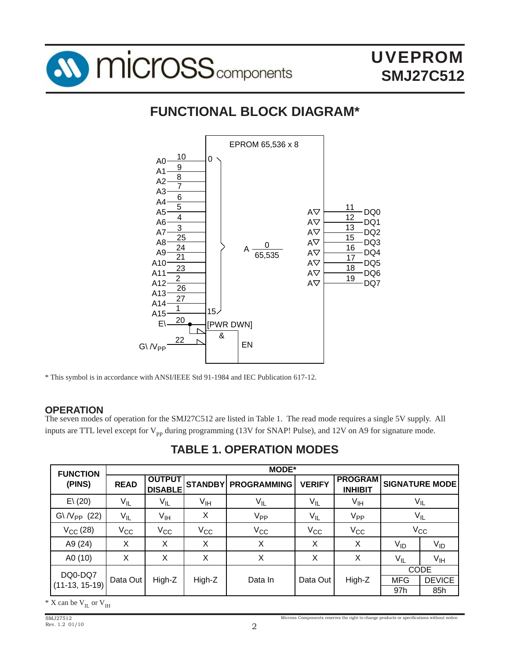

# **FUNCTIONAL BLOCK DIAGRAM\***



\* This symbol is in accordance with ANSI/IEEE Std 91-1984 and IEC Publication 617-12.

## **OPERATION**

The seven modes of operation for the SMJ27C512 are listed in Table 1. The read mode requires a single 5V supply. All inputs are TTL level except for  $V_{\text{pp}}$  during programming (13V for SNAP! Pulse), and 12V on A9 for signature mode.

| <b>FUNCTION</b>           |                   |                                 |                 | <b>MODE*</b>               |               |                                  |                 |                       |
|---------------------------|-------------------|---------------------------------|-----------------|----------------------------|---------------|----------------------------------|-----------------|-----------------------|
| (PINS)                    | <b>READ</b>       | <b>OUTPUT</b><br><b>DISABLE</b> |                 | <b>STANDBY PROGRAMMING</b> | <b>VERIFY</b> | <b>PROGRAM</b><br><b>INHIBIT</b> |                 | <b>SIGNATURE MODE</b> |
| E(20)                     | $V_{\mathsf{IL}}$ | $V_{IL}$                        | V <sub>IH</sub> | $V_{IL}$                   | $V_{IL}$      | V <sub>IH</sub>                  |                 | $V_{IL}$              |
| $G\backslash N_{PP}$ (22) | $V_{IL}$          | V <sub>IH</sub>                 | X               | V <sub>PP</sub>            | $V_{IL}$      | V <sub>PP</sub>                  |                 | $V_{IL}$              |
| $V_{CC}$ (28)             | $V_{\rm CC}$      | $V_{\rm CC}$                    | $V_{\rm CC}$    | $V_{CC}$                   | $V_{\rm CC}$  | $V_{\rm CC}$                     |                 | $V_{\rm CC}$          |
| A9 (24)                   | X                 | Χ                               | X               | X                          | X             | X                                | V <sub>ID</sub> | $V_{ID}$              |
| A0 (10)                   | X                 | X                               | X               | X                          | X             | X                                | $V_{IL}$        | $V_{\text{IH}}$       |
| DQ0-DQ7                   |                   |                                 |                 |                            |               |                                  |                 | <b>CODE</b>           |
| $(11-13, 15-19)$          | Data Out          | High-Z                          | High-Z          | Data In                    | Data Out      | High-Z                           | <b>MFG</b>      | <b>DEVICE</b>         |
|                           |                   |                                 |                 |                            |               |                                  | 97h             | 85h                   |

**TABLE 1. OPERATION MODES**

 $*$  X can be  $V_{II}$  or  $V_{III}$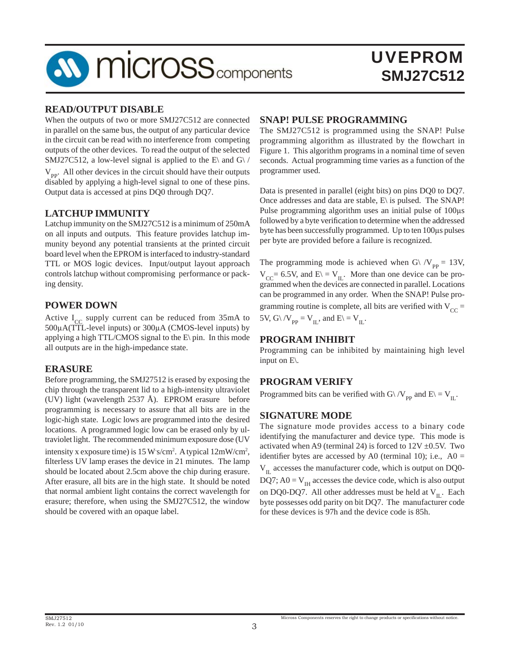

#### **READ/OUTPUT DISABLE**

When the outputs of two or more SMJ27C512 are connected in parallel on the same bus, the output of any particular device in the circuit can be read with no interference from competing outputs of the other devices. To read the output of the selected SMJ27C512, a low-level signal is applied to the E\ and G\ /  $V_{\text{pp}}$ . All other devices in the circuit should have their outputs disabled by applying a high-level signal to one of these pins. Output data is accessed at pins DQ0 through DQ7.

## **LATCHUP IMMUNITY**

Latchup immunity on the SMJ27C512 is a minimum of 250mA on all inputs and outputs. This feature provides latchup immunity beyond any potential transients at the printed circuit board level when the EPROM is interfaced to industry-standard TTL or MOS logic devices. Input/output layout approach controls latchup without compromising performance or packing density.

#### **POWER DOWN**

Active  $I_{CC}$  supply current can be reduced from 35mA to 500μA(TTL-level inputs) or 300μA (CMOS-level inputs) by applying a high TTL/CMOS signal to the  $E\$ in. In this mode all outputs are in the high-impedance state.

#### **ERASURE**

Before programming, the SMJ27512 is erased by exposing the chip through the transparent lid to a high-intensity ultraviolet (UV) light (wavelength 2537 Å). EPROM erasure before programming is necessary to assure that all bits are in the logic-high state. Logic lows are programmed into the desired locations. A programmed logic low can be erased only by ultraviolet light. The recommended minimum exposure dose (UV intensity x exposure time) is  $15 W$ s/cm<sup>2</sup>. A typical  $12 mW/cm<sup>2</sup>$ , filterless UV lamp erases the device in 21 minutes. The lamp should be located about 2.5cm above the chip during erasure. After erasure, all bits are in the high state. It should be noted that normal ambient light contains the correct wavelength for erasure; therefore, when using the SMJ27C512, the window should be covered with an opaque label.

#### **SNAP! PULSE PROGRAMMING**

The SMJ27C512 is programmed using the SNAP! Pulse programming algorithm as illustrated by the flowchart in Figure 1. This algorithm programs in a nominal time of seven seconds. Actual programming time varies as a function of the programmer used.

Data is presented in parallel (eight bits) on pins DQ0 to DQ7. Once addresses and data are stable, E\ is pulsed. The SNAP! Pulse programming algorithm uses an initial pulse of 100μs followed by a byte verification to determine when the addressed byte has been successfully programmed. Up to ten 100μs pulses per byte are provided before a failure is recognized.

The programming mode is achieved when G\  $/V_{\text{pp}} = 13V$ ,  $V_{CC}$ = 6.5V, and E\ = V<sub>IL</sub>. More than one device can be programmed when the devices are connected in parallel. Locations can be programmed in any order. When the SNAP! Pulse programming routine is complete, all bits are verified with  $V_{CC}$  = 5V, G\ /V<sub>PP</sub> = V<sub>IL</sub>, and E\ = V<sub>IL</sub>.

#### **PROGRAM INHIBIT**

Programming can be inhibited by maintaining high level input on E\.

## **PROGRAM VERIFY**

Programmed bits can be verified with G\ /V<sub>PP</sub> and E\ = V<sub>IL</sub>.

#### **SIGNATURE MODE**

The signature mode provides access to a binary code identifying the manufacturer and device type. This mode is activated when A9 (terminal 24) is forced to  $12V \pm 0.5V$ . Two identifier bytes are accessed by A0 (terminal 10); i.e.,  $A0 =$  $V_{II}$  accesses the manufacturer code, which is output on DQ0-DQ7; A0 =  $V_{\text{IH}}$  accesses the device code, which is also output on DQ0-DQ7. All other addresses must be held at  $V_{\text{II}}$ . Each byte possesses odd parity on bit DQ7. The manufacturer code for these devices is 97h and the device code is 85h.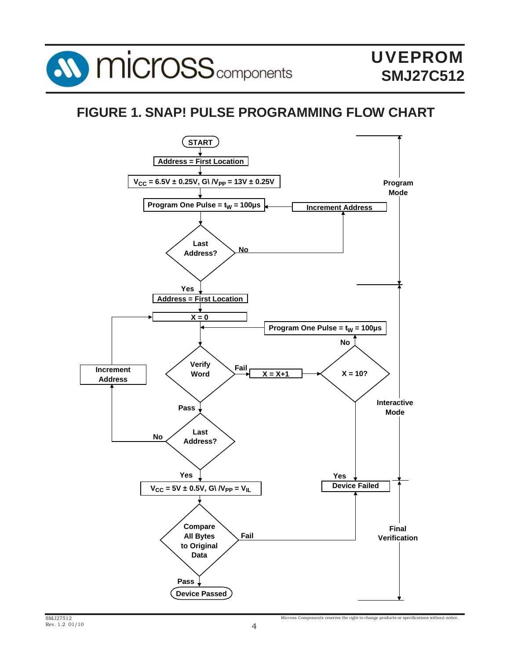

# **FIGURE 1. SNAP! PULSE PROGRAMMING FLOW CHART**

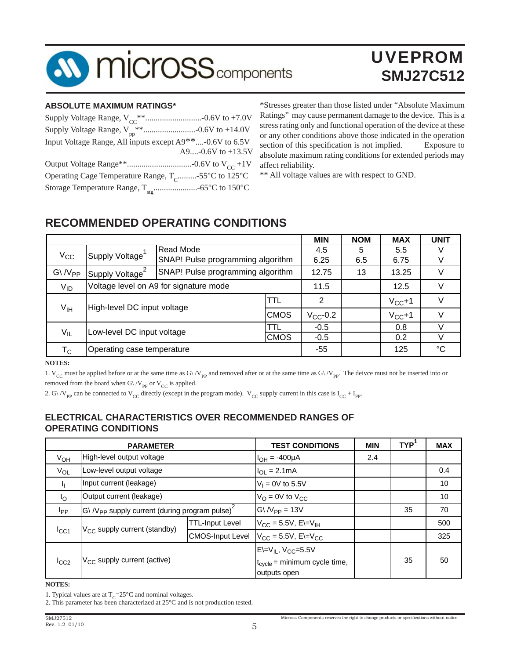

# UVEPROM **SMJ27C512**

#### **ABSOLUTE MAXIMUM RATINGS\***

| Input Voltage Range, All inputs except A9**-0.6V to 6.5V        |
|-----------------------------------------------------------------|
| A9- $0.6V$ to $+13.5V$                                          |
|                                                                 |
| Operating Cage Temperature Range, T <sub>c</sub> -55°C to 125°C |
|                                                                 |

\*Stresses greater than those listed under "Absolute Maximum Ratings" may cause permanent damage to the device. This is a stress rating only and functional operation of the device at these or any other conditions above those indicated in the operation section of this specification is not implied. Exposure to absolute maximum rating conditions for extended periods may affect reliability.

\*\* All voltage values are with respect to GND.

# **RECOMMENDED OPERATING CONDITIONS**

|                                                         |                                                |                                   |             | <b>MIN</b>    | <b>NOM</b> | <b>MAX</b> | <b>UNIT</b> |
|---------------------------------------------------------|------------------------------------------------|-----------------------------------|-------------|---------------|------------|------------|-------------|
| $V_{\rm CC}$                                            | <b>Read Mode</b>                               |                                   | 4.5         | 5             | 5.5        |            |             |
|                                                         | Supply Voltage                                 | SNAP! Pulse programming algorithm |             | 6.25          | 6.5        | 6.75       |             |
| $G\backslash N_{PP}$                                    | Supply Voltage <sup>2</sup>                    | SNAP! Pulse programming algorithm |             | 12.75         | 13         | 13.25      | V           |
| $V_{ID}$                                                | Voltage level on A9 for signature mode         |                                   |             | 11.5          |            | 12.5       |             |
|                                                         | High-level DC input voltage<br>V <sub>IH</sub> |                                   | TTL         | 2             |            | $V_{CC}+1$ |             |
|                                                         |                                                |                                   | <b>CMOS</b> | $V_{CC}$ -0.2 |            | $V_{CC}+1$ | V           |
| $V_{IL}$                                                | TTL<br>Low-level DC input voltage              |                                   |             | $-0.5$        |            | 0.8        |             |
|                                                         |                                                |                                   | <b>CMOS</b> | $-0.5$        |            | 0.2        |             |
| Operating case temperature<br>$\mathsf{T}_{\mathsf{C}}$ |                                                | -55                               |             | 125           | °C         |            |             |

**NOTES:**

1. V<sub>CC</sub> must be applied before or at the same time as G $\sqrt{V_{pp}}$  and removed after or at the same time as G $\sqrt{V_{pp}}$ . The deivce must not be inserted into or removed from the board when G\ /V<sub>PP</sub> or V<sub>CC</sub> is applied.

2. G\ /V<sub>pp</sub> can be connected to V<sub>CC</sub> directly (except in the program mode). V<sub>CC</sub> supply current in this case is  $I_{CC} + I_{PP}$ .

## **ELECTRICAL CHARACTERISTICS OVER RECOMMENDED RANGES OF OPERATING CONDITIONS**

|                 | <b>PARAMETER</b>                                                              |                                          | <b>TEST CONDITIONS</b>                  | <b>MIN</b> | TYP <sup>'</sup> | <b>MAX</b> |
|-----------------|-------------------------------------------------------------------------------|------------------------------------------|-----------------------------------------|------------|------------------|------------|
| V <sub>OH</sub> | High-level output voltage                                                     |                                          | $I_{OH} = -400 \mu A$                   | 2.4        |                  |            |
| $V_{OL}$        | Low-level output voltage                                                      |                                          | $I_{OL} = 2.1 \text{mA}$                |            |                  | 0.4        |
| J,              | Input current (leakage)                                                       |                                          | $V_1 = 0V$ to 5.5V                      |            |                  | 10         |
| $I_{\rm O}$     | Output current (leakage)                                                      |                                          | $V_{\text{O}} = 0$ V to $V_{\text{CC}}$ |            |                  | 10         |
| <b>I</b> pp     | $\ket{G}$ /V <sub>PP</sub> supply current (during program pulse) <sup>2</sup> |                                          | $G\backslash N_{PP} = 13V$              |            | 35               | 70         |
|                 |                                                                               | <b>TTL-Input Level</b>                   | $V_{CC} = 5.5V$ , E $=V_{IH}$           |            |                  | 500        |
| $I_{\rm CC1}$   | V <sub>CC</sub> supply current (standby)<br><b>CMOS-Input Level</b>           |                                          | $V_{CC}$ = 5.5V, E $=V_{CC}$            |            |                  | 325        |
|                 |                                                                               |                                          | $E=V_{IL}$ , $V_{CC}=5.5V$              |            |                  |            |
| $I_{CC2}$       | $V_{CC}$ supply current (active)                                              | $t_{\text{cycle}}$ = minimum cycle time, |                                         |            | 35               | 50         |
|                 |                                                                               |                                          | outputs open                            |            |                  |            |

#### **NOTES:**

1. Typical values are at  $T_c=25\degree C$  and nominal voltages.

<sup>2.</sup> This parameter has been characterized at 25°C and is not production tested.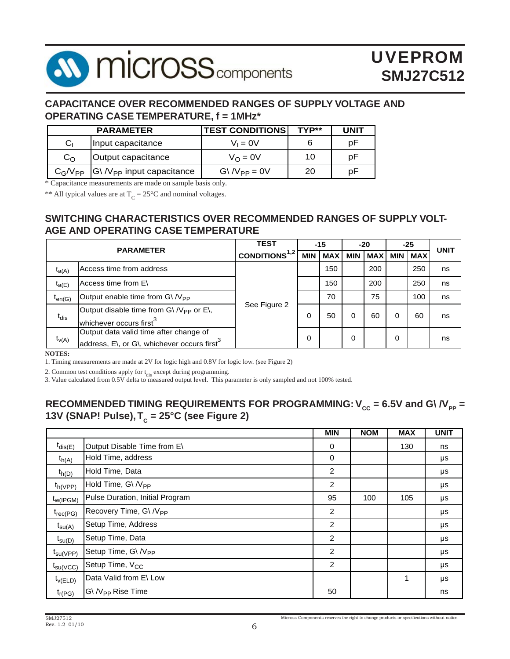# **AV MICrOSS** components

# UVEPROM **SMJ27C512**

## **CAPACITANCE OVER RECOMMENDED RANGES OF SUPPLY VOLTAGE AND OPERATING CASE TEMPERATURE, f = 1MHz\***

|              | <b>PARAMETER</b>                        | <b>TEST CONDITIONS!</b>   | TYP** | <b>UNIT</b> |
|--------------|-----------------------------------------|---------------------------|-------|-------------|
| Cı           | Input capacitance                       | $V_1 = 0V$                |       | рF          |
| $C_{\Omega}$ | Output capacitance                      | $V_{\Omega} = 0V$         | 10    | рF          |
| $C_G/V_{PP}$ | $ G \rangle / V_{PP}$ input capacitance | $G\backslash N_{PP} = 0V$ | 20    | рF          |

\* Capacitance measurements are made on sample basis only.

\*\* All typical values are at  $T_c = 25^{\circ}$ C and nominal voltages.

## **SWITCHING CHARACTERISTICS OVER RECOMMENDED RANGES OF SUPPLY VOLT-AGE AND OPERATING CASE TEMPERATURE**

|             |                                                                                                         |                     |            | $-15$      |            | $-20$      |            | -25        | <b>UNIT</b> |
|-------------|---------------------------------------------------------------------------------------------------------|---------------------|------------|------------|------------|------------|------------|------------|-------------|
|             | <b>PARAMETER</b>                                                                                        | CONDITIONS $^{1,2}$ | <b>MIN</b> | <b>MAX</b> | <b>MIN</b> | <b>MAX</b> | <b>MIN</b> | <b>MAX</b> |             |
| $t_{a(A)}$  | Access time from address                                                                                |                     |            | 150        |            | 200        |            | 250        | ns          |
| $t_{a(E)}$  | Access time from E\                                                                                     |                     |            | 150        |            | 200        |            | 250        | ns          |
| $t_{en(G)}$ | Output enable time from $G \backslash N_{PP}$                                                           |                     |            | 70         |            | 75         |            | 100        | ns          |
| $t_{dis}$   | Output disable time from $G \setminus N_{PP}$ or $E \setminus$ ,<br>whichever occurs first <sup>3</sup> | See Figure 2        | 0          | 50         |            | 60         |            | 60         | ns          |
| $t_{V(A)}$  | Output data valid time after change of<br>address, E\, or G\, whichever occurs first <sup>3</sup>       |                     | 0          |            | 0          |            | 0          |            | ns          |

**NOTES:**

1. Timing measurements are made at 2V for logic high and 0.8V for logic low. (see Figure 2)

2. Common test conditions apply for  $t_{dis}$  except during programming.

3. Value calculated from 0.5V delta to measured output level. This parameter is only sampled and not 100% tested.

## RECOMMENDED TIMING REQUIREMENTS FOR PROGRAMMING:  $V_{cc}$  = 6.5V and G\  $/V_{pp}$  = 13V (SNAP! Pulse), T<sub>c</sub> = 25°C (see Figure 2)

|                      |                                    | <b>MIN</b>     | <b>NOM</b> | <b>MAX</b> | <b>UNIT</b> |
|----------------------|------------------------------------|----------------|------------|------------|-------------|
| $t_{\text{dis}(E)}$  | Output Disable Time from E\        | 0              |            | 130        | ns          |
| $t_{h(A)}$           | Hold Time, address                 | 0              |            |            | μs          |
| $t_{h(D)}$           | Hold Time, Data                    | 2              |            |            | μs          |
| $t_{h(VPP)}$         | Hold Time, G\ /V <sub>PP</sub>     | 2              |            |            | μs          |
| $t_{W(IPGM)}$        | Pulse Duration, Initial Program    | 95             | 100        | 105        | μs          |
| $t_{rec(PG)}$        | Recovery Time, G\ /V <sub>PP</sub> | 2              |            |            | μs          |
| $t_{\text{SU(A)}}$   | Setup Time, Address                | $\overline{2}$ |            |            | μs          |
| $t_{\text{SU(D)}}$   | Setup Time, Data                   | $\overline{2}$ |            |            | μs          |
| $t_{\text{SU(VPP)}}$ | Setup Time, G\ /V <sub>PP</sub>    | 2              |            |            | μs          |
| $t_{\text{su}(VCC)}$ | Setup Time, V <sub>CC</sub>        | 2              |            |            | μs          |
| $t_{\nu(ELD)}$       | Data Valid from E\ Low             |                |            | 1          | μs          |
| $t_{r(PG)}$          | G\ /V <sub>PP</sub> Rise Time      | 50             |            |            | ns          |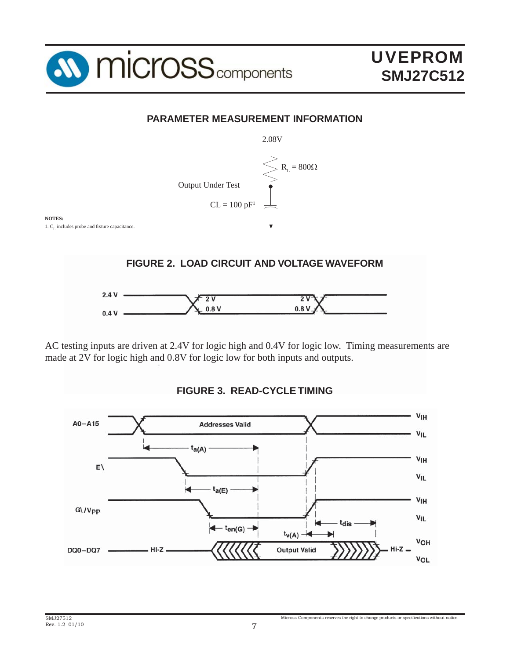

# **PARAMETER MEASUREMENT INFORMATION**



AC testing inputs are driven at 2.4V for logic high and 0.4V for logic low. Timing measurements are made at 2V for logic high and 0.8V for logic low for both inputs and outputs.



## **FIGURE 3. READ-CYCLE TIMING**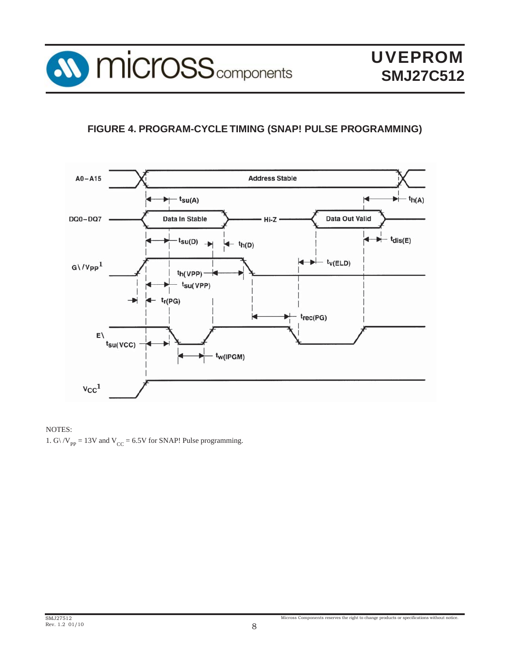

# **FIGURE 4. PROGRAM-CYCLE TIMING (SNAP! PULSE PROGRAMMING)**



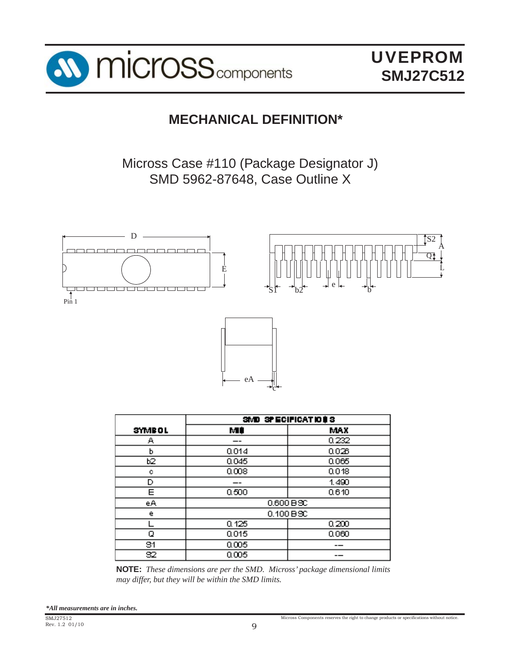

UVEPROM **SMJ27C512**

# **MECHANICAL DEFINITION\***

Micross Case #110 (Package Designator J) SMD 5962-87648, Case Outline X



|               |       | SMD SPECIFICATIONS |
|---------------|-------|--------------------|
| <b>SYMBOL</b> | МÚ    | MAX                |
| А             | --    | 0.232              |
| h             | 0.014 | 0.028              |
| b2            | 0.045 | 0.065              |
| ۰             | 0.008 | 0.018              |
| D             |       | 1.490              |
| Ε             | 0.500 | 0.610              |
| еA            |       | $0.600 B$ SC       |
| е             |       | 0.100 B3C          |
|               | 0.125 | 0.200              |
| ο             | 0.015 | 0.060              |
| 81            | 0.005 |                    |
| 82            | 0.005 |                    |

**NOTE:** *These dimensions are per the SMD. Micross' package dimensional limits may differ, but they will be within the SMD limits.*

*\*All measurements are in inches.*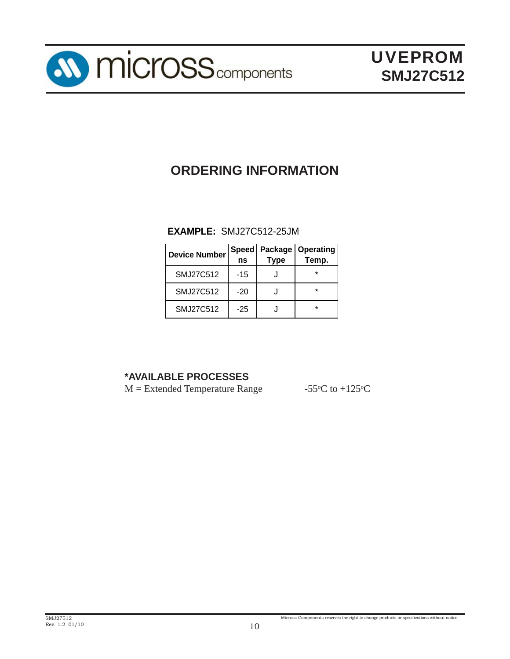

# **ORDERING INFORMATION**

## **EXAMPLE:** SMJ27C512-25JM

| <b>Device Number</b> | <b>Speed</b><br>ns | Package<br><b>Type</b> | <b>Operating</b><br>Temp. |
|----------------------|--------------------|------------------------|---------------------------|
| SMJ27C512            | $-15$              |                        | ÷                         |
| SMJ27C512            | $-20$              |                        | ÷                         |
| SMJ27C512            | $-25$              |                        | ÷                         |

# **\*AVAILABLE PROCESSES**

 $M =$  Extended Temperature Range

C to  $+125$ <sup>o</sup>C